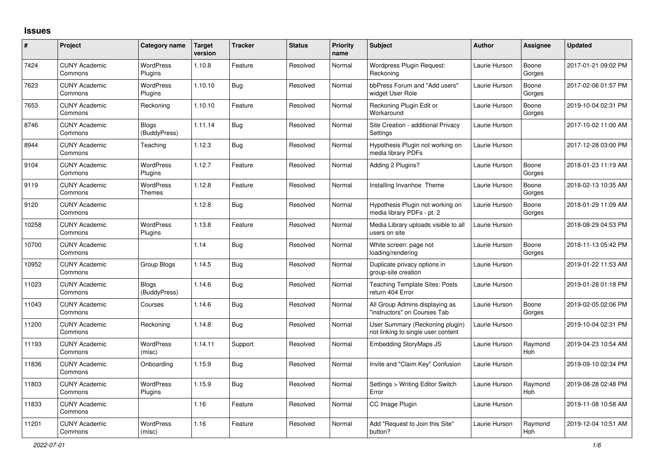## **Issues**

| $\#$  | Project                         | Category name               | <b>Target</b><br>version | <b>Tracker</b> | <b>Status</b> | <b>Priority</b><br>name | <b>Subject</b>                                                        | <b>Author</b> | Assignee              | Updated             |
|-------|---------------------------------|-----------------------------|--------------------------|----------------|---------------|-------------------------|-----------------------------------------------------------------------|---------------|-----------------------|---------------------|
| 7424  | <b>CUNY Academic</b><br>Commons | <b>WordPress</b><br>Plugins | 1.10.8                   | Feature        | Resolved      | Normal                  | Wordpress Plugin Request:<br>Reckoning                                | Laurie Hurson | Boone<br>Gorges       | 2017-01-21 09:02 PM |
| 7623  | <b>CUNY Academic</b><br>Commons | <b>WordPress</b><br>Plugins | 1.10.10                  | <b>Bug</b>     | Resolved      | Normal                  | bbPress Forum and "Add users"<br>widget User Role                     | Laurie Hurson | Boone<br>Gorges       | 2017-02-06 01:57 PM |
| 7653  | <b>CUNY Academic</b><br>Commons | Reckoning                   | 1.10.10                  | Feature        | Resolved      | Normal                  | Reckoning Plugin Edit or<br>Workaround                                | Laurie Hurson | Boone<br>Gorges       | 2019-10-04 02:31 PM |
| 8746  | <b>CUNY Academic</b><br>Commons | Blogs<br>(BuddyPress)       | 1.11.14                  | Bug            | Resolved      | Normal                  | Site Creation - additional Privacy<br>Settings                        | Laurie Hurson |                       | 2017-10-02 11:00 AM |
| 8944  | <b>CUNY Academic</b><br>Commons | Teaching                    | 1.12.3                   | Bug            | Resolved      | Normal                  | Hypothesis Plugin not working on<br>media library PDFs                | Laurie Hurson |                       | 2017-12-28 03:00 PM |
| 9104  | <b>CUNY Academic</b><br>Commons | <b>WordPress</b><br>Plugins | 1.12.7                   | Feature        | Resolved      | Normal                  | Adding 2 Plugins?                                                     | Laurie Hurson | Boone<br>Gorges       | 2018-01-23 11:19 AM |
| 9119  | <b>CUNY Academic</b><br>Commons | <b>WordPress</b><br>Themes  | 1.12.8                   | Feature        | Resolved      | Normal                  | Installing Invanhoe Theme                                             | Laurie Hurson | Boone<br>Gorges       | 2018-02-13 10:35 AM |
| 9120  | <b>CUNY Academic</b><br>Commons |                             | 1.12.8                   | <b>Bug</b>     | Resolved      | Normal                  | Hypothesis Plugin not working on<br>media library PDFs - pt. 2        | Laurie Hurson | Boone<br>Gorges       | 2018-01-29 11:09 AM |
| 10258 | <b>CUNY Academic</b><br>Commons | WordPress<br>Plugins        | 1.13.8                   | Feature        | Resolved      | Normal                  | Media Library uploads visible to all<br>users on site                 | Laurie Hurson |                       | 2018-08-29 04:53 PM |
| 10700 | <b>CUNY Academic</b><br>Commons |                             | 1.14                     | <b>Bug</b>     | Resolved      | Normal                  | White screen: page not<br>loading/rendering                           | Laurie Hurson | Boone<br>Gorges       | 2018-11-13 05:42 PM |
| 10952 | <b>CUNY Academic</b><br>Commons | Group Blogs                 | 1.14.5                   | Bug            | Resolved      | Normal                  | Duplicate privacy options in<br>group-site creation                   | Laurie Hurson |                       | 2019-01-22 11:53 AM |
| 11023 | <b>CUNY Academic</b><br>Commons | Blogs<br>(BuddyPress)       | 1.14.6                   | <b>Bug</b>     | Resolved      | Normal                  | <b>Teaching Template Sites: Posts</b><br>return 404 Error             | Laurie Hurson |                       | 2019-01-28 01:18 PM |
| 11043 | <b>CUNY Academic</b><br>Commons | Courses                     | 1.14.6                   | <b>Bug</b>     | Resolved      | Normal                  | All Group Admins displaying as<br>"instructors" on Courses Tab        | Laurie Hurson | Boone<br>Gorges       | 2019-02-05 02:06 PM |
| 11200 | <b>CUNY Academic</b><br>Commons | Reckoning                   | 1.14.8                   | Bug            | Resolved      | Normal                  | User Summary (Reckoning plugin)<br>not linking to single user content | Laurie Hurson |                       | 2019-10-04 02:31 PM |
| 11193 | <b>CUNY Academic</b><br>Commons | WordPress<br>(misc)         | 1.14.11                  | Support        | Resolved      | Normal                  | <b>Embedding StoryMaps JS</b>                                         | Laurie Hurson | Raymond<br>Hoh        | 2019-04-23 10:54 AM |
| 11836 | <b>CUNY Academic</b><br>Commons | Onboarding                  | 1.15.9                   | Bug            | Resolved      | Normal                  | Invite and "Claim Key" Confusion                                      | Laurie Hurson |                       | 2019-09-10 02:34 PM |
| 11803 | <b>CUNY Academic</b><br>Commons | <b>WordPress</b><br>Plugins | 1.15.9                   | <b>Bug</b>     | Resolved      | Normal                  | Settings > Writing Editor Switch<br>Error                             | Laurie Hurson | Raymond<br><b>Hoh</b> | 2019-08-28 02:48 PM |
| 11833 | <b>CUNY Academic</b><br>Commons |                             | 1.16                     | Feature        | Resolved      | Normal                  | CC Image Plugin                                                       | Laurie Hurson |                       | 2019-11-08 10:58 AM |
| 11201 | <b>CUNY Academic</b><br>Commons | WordPress<br>(misc)         | 1.16                     | Feature        | Resolved      | Normal                  | Add "Request to Join this Site"<br>button?                            | Laurie Hurson | Raymond<br>Hoh        | 2019-12-04 10:51 AM |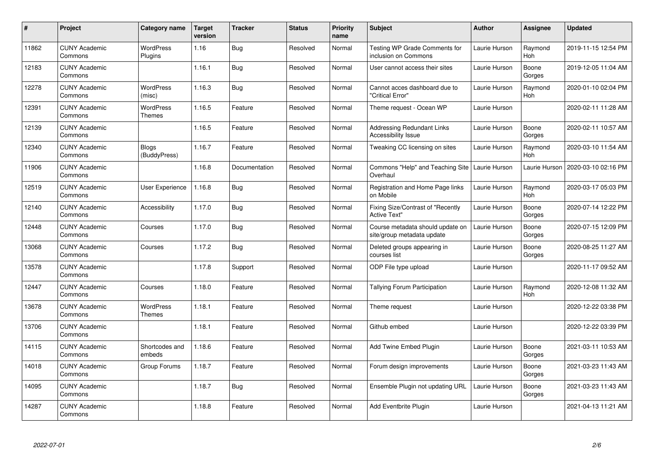| $\pmb{\#}$ | Project                         | Category name               | <b>Target</b><br>version | <b>Tracker</b> | <b>Status</b> | <b>Priority</b><br>name | <b>Subject</b>                                                 | <b>Author</b> | <b>Assignee</b>       | <b>Updated</b>      |
|------------|---------------------------------|-----------------------------|--------------------------|----------------|---------------|-------------------------|----------------------------------------------------------------|---------------|-----------------------|---------------------|
| 11862      | <b>CUNY Academic</b><br>Commons | <b>WordPress</b><br>Plugins | 1.16                     | <b>Bug</b>     | Resolved      | Normal                  | <b>Testing WP Grade Comments for</b><br>inclusion on Commons   | Laurie Hurson | Raymond<br>Hoh        | 2019-11-15 12:54 PM |
| 12183      | <b>CUNY Academic</b><br>Commons |                             | 1.16.1                   | Bug            | Resolved      | Normal                  | User cannot access their sites                                 | Laurie Hurson | Boone<br>Gorges       | 2019-12-05 11:04 AM |
| 12278      | <b>CUNY Academic</b><br>Commons | <b>WordPress</b><br>(misc)  | 1.16.3                   | <b>Bug</b>     | Resolved      | Normal                  | Cannot acces dashboard due to<br>"Critical Error"              | Laurie Hurson | Raymond<br>Hoh        | 2020-01-10 02:04 PM |
| 12391      | <b>CUNY Academic</b><br>Commons | <b>WordPress</b><br>Themes  | 1.16.5                   | Feature        | Resolved      | Normal                  | Theme request - Ocean WP                                       | Laurie Hurson |                       | 2020-02-11 11:28 AM |
| 12139      | <b>CUNY Academic</b><br>Commons |                             | 1.16.5                   | Feature        | Resolved      | Normal                  | <b>Addressing Redundant Links</b><br>Accessibility Issue       | Laurie Hurson | Boone<br>Gorges       | 2020-02-11 10:57 AM |
| 12340      | <b>CUNY Academic</b><br>Commons | Blogs<br>(BuddyPress)       | 1.16.7                   | Feature        | Resolved      | Normal                  | Tweaking CC licensing on sites                                 | Laurie Hurson | Raymond<br>Hoh        | 2020-03-10 11:54 AM |
| 11906      | <b>CUNY Academic</b><br>Commons |                             | 1.16.8                   | Documentation  | Resolved      | Normal                  | Commons "Help" and Teaching Site<br>Overhaul                   | Laurie Hurson | Laurie Hurson         | 2020-03-10 02:16 PM |
| 12519      | <b>CUNY Academic</b><br>Commons | User Experience             | 1.16.8                   | Bug            | Resolved      | Normal                  | Registration and Home Page links<br>on Mobile                  | Laurie Hurson | Raymond<br><b>Hoh</b> | 2020-03-17 05:03 PM |
| 12140      | <b>CUNY Academic</b><br>Commons | Accessibility               | 1.17.0                   | <b>Bug</b>     | Resolved      | Normal                  | Fixing Size/Contrast of "Recently<br><b>Active Text"</b>       | Laurie Hurson | Boone<br>Gorges       | 2020-07-14 12:22 PM |
| 12448      | <b>CUNY Academic</b><br>Commons | Courses                     | 1.17.0                   | <b>Bug</b>     | Resolved      | Normal                  | Course metadata should update on<br>site/group metadata update | Laurie Hurson | Boone<br>Gorges       | 2020-07-15 12:09 PM |
| 13068      | <b>CUNY Academic</b><br>Commons | Courses                     | 1.17.2                   | <b>Bug</b>     | Resolved      | Normal                  | Deleted groups appearing in<br>courses list                    | Laurie Hurson | Boone<br>Gorges       | 2020-08-25 11:27 AM |
| 13578      | <b>CUNY Academic</b><br>Commons |                             | 1.17.8                   | Support        | Resolved      | Normal                  | ODP File type upload                                           | Laurie Hurson |                       | 2020-11-17 09:52 AM |
| 12447      | <b>CUNY Academic</b><br>Commons | Courses                     | 1.18.0                   | Feature        | Resolved      | Normal                  | Tallying Forum Participation                                   | Laurie Hurson | Raymond<br>Hoh        | 2020-12-08 11:32 AM |
| 13678      | <b>CUNY Academic</b><br>Commons | <b>WordPress</b><br>Themes  | 1.18.1                   | Feature        | Resolved      | Normal                  | Theme request                                                  | Laurie Hurson |                       | 2020-12-22 03:38 PM |
| 13706      | <b>CUNY Academic</b><br>Commons |                             | 1.18.1                   | Feature        | Resolved      | Normal                  | Github embed                                                   | Laurie Hurson |                       | 2020-12-22 03:39 PM |
| 14115      | <b>CUNY Academic</b><br>Commons | Shortcodes and<br>embeds    | 1.18.6                   | Feature        | Resolved      | Normal                  | Add Twine Embed Plugin                                         | Laurie Hurson | Boone<br>Gorges       | 2021-03-11 10:53 AM |
| 14018      | <b>CUNY Academic</b><br>Commons | Group Forums                | 1.18.7                   | Feature        | Resolved      | Normal                  | Forum design improvements                                      | Laurie Hurson | Boone<br>Gorges       | 2021-03-23 11:43 AM |
| 14095      | <b>CUNY Academic</b><br>Commons |                             | 1.18.7                   | Bug            | Resolved      | Normal                  | Ensemble Plugin not updating URL                               | Laurie Hurson | Boone<br>Gorges       | 2021-03-23 11:43 AM |
| 14287      | <b>CUNY Academic</b><br>Commons |                             | 1.18.8                   | Feature        | Resolved      | Normal                  | Add Eventbrite Plugin                                          | Laurie Hurson |                       | 2021-04-13 11:21 AM |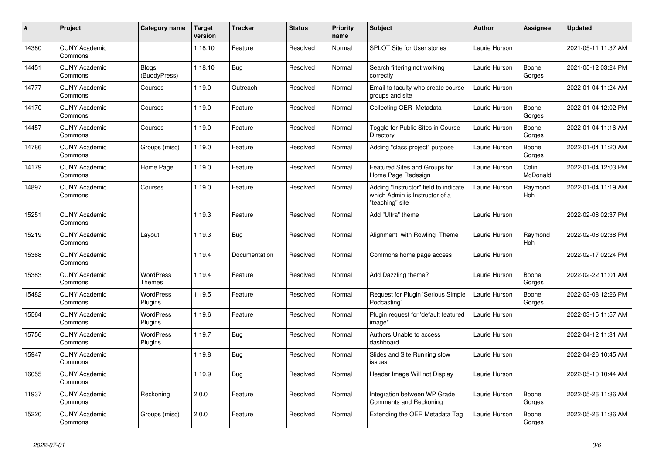| #     | Project                         | Category name                | <b>Target</b><br>version | <b>Tracker</b> | <b>Status</b> | <b>Priority</b><br>name | <b>Subject</b>                                                                             | <b>Author</b> | <b>Assignee</b>   | <b>Updated</b>      |
|-------|---------------------------------|------------------------------|--------------------------|----------------|---------------|-------------------------|--------------------------------------------------------------------------------------------|---------------|-------------------|---------------------|
| 14380 | <b>CUNY Academic</b><br>Commons |                              | 1.18.10                  | Feature        | Resolved      | Normal                  | SPLOT Site for User stories                                                                | Laurie Hurson |                   | 2021-05-11 11:37 AM |
| 14451 | <b>CUNY Academic</b><br>Commons | <b>Blogs</b><br>(BuddyPress) | 1.18.10                  | <b>Bug</b>     | Resolved      | Normal                  | Search filtering not working<br>correctly                                                  | Laurie Hurson | Boone<br>Gorges   | 2021-05-12 03:24 PM |
| 14777 | <b>CUNY Academic</b><br>Commons | Courses                      | 1.19.0                   | Outreach       | Resolved      | Normal                  | Email to faculty who create course<br>groups and site                                      | Laurie Hurson |                   | 2022-01-04 11:24 AM |
| 14170 | <b>CUNY Academic</b><br>Commons | Courses                      | 1.19.0                   | Feature        | Resolved      | Normal                  | Collecting OER Metadata                                                                    | Laurie Hurson | Boone<br>Gorges   | 2022-01-04 12:02 PM |
| 14457 | <b>CUNY Academic</b><br>Commons | Courses                      | 1.19.0                   | Feature        | Resolved      | Normal                  | Toggle for Public Sites in Course<br>Directory                                             | Laurie Hurson | Boone<br>Gorges   | 2022-01-04 11:16 AM |
| 14786 | <b>CUNY Academic</b><br>Commons | Groups (misc)                | 1.19.0                   | Feature        | Resolved      | Normal                  | Adding "class project" purpose                                                             | Laurie Hurson | Boone<br>Gorges   | 2022-01-04 11:20 AM |
| 14179 | <b>CUNY Academic</b><br>Commons | Home Page                    | 1.19.0                   | Feature        | Resolved      | Normal                  | Featured Sites and Groups for<br>Home Page Redesign                                        | Laurie Hurson | Colin<br>McDonald | 2022-01-04 12:03 PM |
| 14897 | <b>CUNY Academic</b><br>Commons | Courses                      | 1.19.0                   | Feature        | Resolved      | Normal                  | Adding "Instructor" field to indicate<br>which Admin is Instructor of a<br>"teaching" site | Laurie Hurson | Raymond<br>Hoh    | 2022-01-04 11:19 AM |
| 15251 | <b>CUNY Academic</b><br>Commons |                              | 1.19.3                   | Feature        | Resolved      | Normal                  | Add "Ultra" theme                                                                          | Laurie Hurson |                   | 2022-02-08 02:37 PM |
| 15219 | <b>CUNY Academic</b><br>Commons | Layout                       | 1.19.3                   | <b>Bug</b>     | Resolved      | Normal                  | Alignment with Rowling Theme                                                               | Laurie Hurson | Raymond<br>Hoh    | 2022-02-08 02:38 PM |
| 15368 | <b>CUNY Academic</b><br>Commons |                              | 1.19.4                   | Documentation  | Resolved      | Normal                  | Commons home page access                                                                   | Laurie Hurson |                   | 2022-02-17 02:24 PM |
| 15383 | <b>CUNY Academic</b><br>Commons | <b>WordPress</b><br>Themes   | 1.19.4                   | Feature        | Resolved      | Normal                  | Add Dazzling theme?                                                                        | Laurie Hurson | Boone<br>Gorges   | 2022-02-22 11:01 AM |
| 15482 | <b>CUNY Academic</b><br>Commons | <b>WordPress</b><br>Plugins  | 1.19.5                   | Feature        | Resolved      | Normal                  | Request for Plugin 'Serious Simple<br>Podcasting'                                          | Laurie Hurson | Boone<br>Gorges   | 2022-03-08 12:26 PM |
| 15564 | <b>CUNY Academic</b><br>Commons | <b>WordPress</b><br>Plugins  | 1.19.6                   | Feature        | Resolved      | Normal                  | Plugin request for 'default featured<br>image"                                             | Laurie Hurson |                   | 2022-03-15 11:57 AM |
| 15756 | <b>CUNY Academic</b><br>Commons | <b>WordPress</b><br>Plugins  | 1.19.7                   | Bug            | Resolved      | Normal                  | Authors Unable to access<br>dashboard                                                      | Laurie Hurson |                   | 2022-04-12 11:31 AM |
| 15947 | <b>CUNY Academic</b><br>Commons |                              | 1.19.8                   | <b>Bug</b>     | Resolved      | Normal                  | Slides and Site Running slow<br>issues                                                     | Laurie Hurson |                   | 2022-04-26 10:45 AM |
| 16055 | <b>CUNY Academic</b><br>Commons |                              | 1.19.9                   | Bug            | Resolved      | Normal                  | Header Image Will not Display                                                              | Laurie Hurson |                   | 2022-05-10 10:44 AM |
| 11937 | <b>CUNY Academic</b><br>Commons | Reckoning                    | 2.0.0                    | Feature        | Resolved      | Normal                  | Integration between WP Grade<br>Comments and Reckoning                                     | Laurie Hurson | Boone<br>Gorges   | 2022-05-26 11:36 AM |
| 15220 | <b>CUNY Academic</b><br>Commons | Groups (misc)                | 2.0.0                    | Feature        | Resolved      | Normal                  | Extending the OER Metadata Tag                                                             | Laurie Hurson | Boone<br>Gorges   | 2022-05-26 11:36 AM |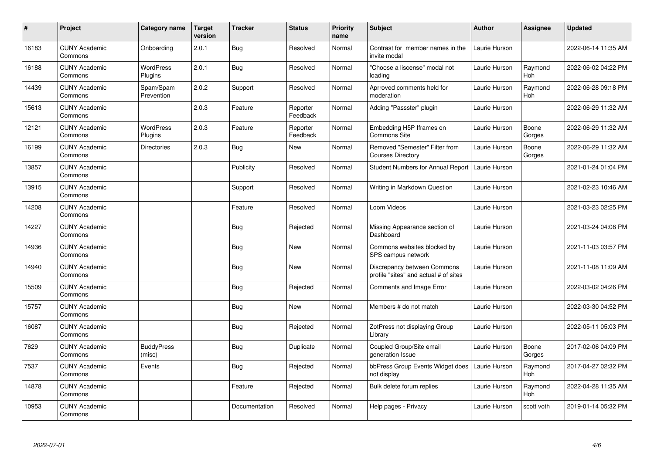| $\pmb{\#}$ | Project                         | Category name               | <b>Target</b><br>version | <b>Tracker</b> | <b>Status</b>        | <b>Priority</b><br>name | <b>Subject</b>                                                       | <b>Author</b> | <b>Assignee</b>       | <b>Updated</b>      |
|------------|---------------------------------|-----------------------------|--------------------------|----------------|----------------------|-------------------------|----------------------------------------------------------------------|---------------|-----------------------|---------------------|
| 16183      | <b>CUNY Academic</b><br>Commons | Onboarding                  | 2.0.1                    | Bug            | Resolved             | Normal                  | Contrast for member names in the<br>invite modal                     | Laurie Hurson |                       | 2022-06-14 11:35 AM |
| 16188      | <b>CUNY Academic</b><br>Commons | WordPress<br>Plugins        | 2.0.1                    | <b>Bug</b>     | Resolved             | Normal                  | "Choose a liscense" modal not<br>loading                             | Laurie Hurson | Raymond<br>Hoh        | 2022-06-02 04:22 PM |
| 14439      | <b>CUNY Academic</b><br>Commons | Spam/Spam<br>Prevention     | 2.0.2                    | Support        | Resolved             | Normal                  | Aprroved comments held for<br>moderation                             | Laurie Hurson | Raymond<br>Hoh        | 2022-06-28 09:18 PM |
| 15613      | <b>CUNY Academic</b><br>Commons |                             | 2.0.3                    | Feature        | Reporter<br>Feedback | Normal                  | Adding "Passster" plugin                                             | Laurie Hurson |                       | 2022-06-29 11:32 AM |
| 12121      | <b>CUNY Academic</b><br>Commons | WordPress<br>Plugins        | 2.0.3                    | Feature        | Reporter<br>Feedback | Normal                  | Embedding H5P Iframes on<br><b>Commons Site</b>                      | Laurie Hurson | Boone<br>Gorges       | 2022-06-29 11:32 AM |
| 16199      | <b>CUNY Academic</b><br>Commons | <b>Directories</b>          | 2.0.3                    | Bug            | New                  | Normal                  | Removed "Semester" Filter from<br><b>Courses Directory</b>           | Laurie Hurson | Boone<br>Gorges       | 2022-06-29 11:32 AM |
| 13857      | <b>CUNY Academic</b><br>Commons |                             |                          | Publicity      | Resolved             | Normal                  | Student Numbers for Annual Report   Laurie Hurson                    |               |                       | 2021-01-24 01:04 PM |
| 13915      | <b>CUNY Academic</b><br>Commons |                             |                          | Support        | Resolved             | Normal                  | Writing in Markdown Question                                         | Laurie Hurson |                       | 2021-02-23 10:46 AM |
| 14208      | <b>CUNY Academic</b><br>Commons |                             |                          | Feature        | Resolved             | Normal                  | Loom Videos                                                          | Laurie Hurson |                       | 2021-03-23 02:25 PM |
| 14227      | <b>CUNY Academic</b><br>Commons |                             |                          | <b>Bug</b>     | Rejected             | Normal                  | Missing Appearance section of<br>Dashboard                           | Laurie Hurson |                       | 2021-03-24 04:08 PM |
| 14936      | <b>CUNY Academic</b><br>Commons |                             |                          | Bug            | New                  | Normal                  | Commons websites blocked by<br>SPS campus network                    | Laurie Hurson |                       | 2021-11-03 03:57 PM |
| 14940      | <b>CUNY Academic</b><br>Commons |                             |                          | <b>Bug</b>     | New                  | Normal                  | Discrepancy between Commons<br>profile "sites" and actual # of sites | Laurie Hurson |                       | 2021-11-08 11:09 AM |
| 15509      | <b>CUNY Academic</b><br>Commons |                             |                          | Bug            | Rejected             | Normal                  | Comments and Image Error                                             | Laurie Hurson |                       | 2022-03-02 04:26 PM |
| 15757      | <b>CUNY Academic</b><br>Commons |                             |                          | <b>Bug</b>     | New                  | Normal                  | Members # do not match                                               | Laurie Hurson |                       | 2022-03-30 04:52 PM |
| 16087      | <b>CUNY Academic</b><br>Commons |                             |                          | <b>Bug</b>     | Rejected             | Normal                  | ZotPress not displaying Group<br>Library                             | Laurie Hurson |                       | 2022-05-11 05:03 PM |
| 7629       | <b>CUNY Academic</b><br>Commons | <b>BuddyPress</b><br>(misc) |                          | Bug            | Duplicate            | Normal                  | Coupled Group/Site email<br>deneration Issue                         | Laurie Hurson | Boone<br>Gorges       | 2017-02-06 04:09 PM |
| 7537       | <b>CUNY Academic</b><br>Commons | Events                      |                          | Bug            | Rejected             | Normal                  | bbPress Group Events Widget does<br>not display                      | Laurie Hurson | Raymond<br><b>Hoh</b> | 2017-04-27 02:32 PM |
| 14878      | <b>CUNY Academic</b><br>Commons |                             |                          | Feature        | Rejected             | Normal                  | Bulk delete forum replies                                            | Laurie Hurson | Raymond<br>Hoh        | 2022-04-28 11:35 AM |
| 10953      | <b>CUNY Academic</b><br>Commons |                             |                          | Documentation  | Resolved             | Normal                  | Help pages - Privacy                                                 | Laurie Hurson | scott voth            | 2019-01-14 05:32 PM |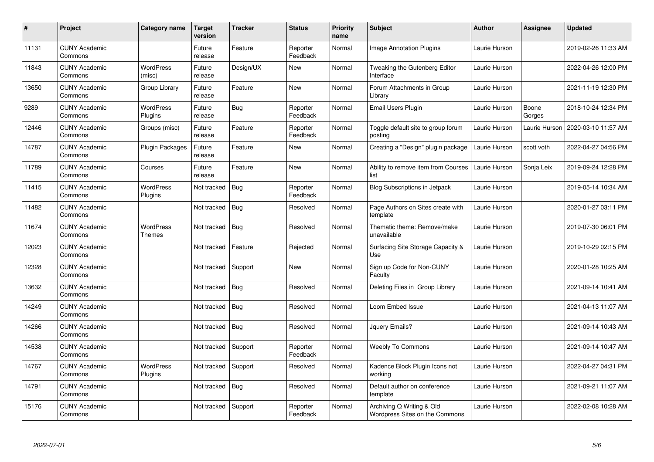| #     | Project                         | Category name               | <b>Target</b><br>version | <b>Tracker</b> | <b>Status</b>        | <b>Priority</b><br>name | <b>Subject</b>                                              | Author        | <b>Assignee</b> | <b>Updated</b>      |
|-------|---------------------------------|-----------------------------|--------------------------|----------------|----------------------|-------------------------|-------------------------------------------------------------|---------------|-----------------|---------------------|
| 11131 | <b>CUNY Academic</b><br>Commons |                             | Future<br>release        | Feature        | Reporter<br>Feedback | Normal                  | <b>Image Annotation Plugins</b>                             | Laurie Hurson |                 | 2019-02-26 11:33 AM |
| 11843 | <b>CUNY Academic</b><br>Commons | <b>WordPress</b><br>(misc)  | Future<br>release        | Design/UX      | New                  | Normal                  | Tweaking the Gutenberg Editor<br>Interface                  | Laurie Hurson |                 | 2022-04-26 12:00 PM |
| 13650 | <b>CUNY Academic</b><br>Commons | Group Library               | Future<br>release        | Feature        | <b>New</b>           | Normal                  | Forum Attachments in Group<br>Library                       | Laurie Hurson |                 | 2021-11-19 12:30 PM |
| 9289  | <b>CUNY Academic</b><br>Commons | <b>WordPress</b><br>Plugins | Future<br>release        | <b>Bug</b>     | Reporter<br>Feedback | Normal                  | Email Users Plugin                                          | Laurie Hurson | Boone<br>Gorges | 2018-10-24 12:34 PM |
| 12446 | <b>CUNY Academic</b><br>Commons | Groups (misc)               | Future<br>release        | Feature        | Reporter<br>Feedback | Normal                  | Toggle default site to group forum<br>posting               | Laurie Hurson | Laurie Hurson   | 2020-03-10 11:57 AM |
| 14787 | <b>CUNY Academic</b><br>Commons | Plugin Packages             | Future<br>release        | Feature        | <b>New</b>           | Normal                  | Creating a "Design" plugin package                          | Laurie Hurson | scott voth      | 2022-04-27 04:56 PM |
| 11789 | <b>CUNY Academic</b><br>Commons | Courses                     | Future<br>release        | Feature        | <b>New</b>           | Normal                  | Ability to remove item from Courses<br>list                 | Laurie Hurson | Sonja Leix      | 2019-09-24 12:28 PM |
| 11415 | <b>CUNY Academic</b><br>Commons | WordPress<br>Plugins        | Not tracked              | Bug            | Reporter<br>Feedback | Normal                  | Blog Subscriptions in Jetpack                               | Laurie Hurson |                 | 2019-05-14 10:34 AM |
| 11482 | <b>CUNY Academic</b><br>Commons |                             | Not tracked              | <b>Bug</b>     | Resolved             | Normal                  | Page Authors on Sites create with<br>template               | Laurie Hurson |                 | 2020-01-27 03:11 PM |
| 11674 | <b>CUNY Academic</b><br>Commons | WordPress<br><b>Themes</b>  | Not tracked              | <b>Bug</b>     | Resolved             | Normal                  | Thematic theme: Remove/make<br>unavailable                  | Laurie Hurson |                 | 2019-07-30 06:01 PM |
| 12023 | <b>CUNY Academic</b><br>Commons |                             | Not tracked              | Feature        | Rejected             | Normal                  | Surfacing Site Storage Capacity &<br>Use                    | Laurie Hurson |                 | 2019-10-29 02:15 PM |
| 12328 | <b>CUNY Academic</b><br>Commons |                             | Not tracked              | Support        | <b>New</b>           | Normal                  | Sign up Code for Non-CUNY<br>Faculty                        | Laurie Hurson |                 | 2020-01-28 10:25 AM |
| 13632 | <b>CUNY Academic</b><br>Commons |                             | Not tracked              | Bug            | Resolved             | Normal                  | Deleting Files in Group Library                             | Laurie Hurson |                 | 2021-09-14 10:41 AM |
| 14249 | <b>CUNY Academic</b><br>Commons |                             | Not tracked              | Bug            | Resolved             | Normal                  | Loom Embed Issue                                            | Laurie Hurson |                 | 2021-04-13 11:07 AM |
| 14266 | <b>CUNY Academic</b><br>Commons |                             | Not tracked              | <b>Bug</b>     | Resolved             | Normal                  | Jquery Emails?                                              | Laurie Hurson |                 | 2021-09-14 10:43 AM |
| 14538 | <b>CUNY Academic</b><br>Commons |                             | Not tracked              | Support        | Reporter<br>Feedback | Normal                  | <b>Weebly To Commons</b>                                    | Laurie Hurson |                 | 2021-09-14 10:47 AM |
| 14767 | <b>CUNY Academic</b><br>Commons | <b>WordPress</b><br>Plugins | Not tracked              | Support        | Resolved             | Normal                  | Kadence Block Plugin Icons not<br>working                   | Laurie Hurson |                 | 2022-04-27 04:31 PM |
| 14791 | <b>CUNY Academic</b><br>Commons |                             | Not tracked              | <b>Bug</b>     | Resolved             | Normal                  | Default author on conference<br>template                    | Laurie Hurson |                 | 2021-09-21 11:07 AM |
| 15176 | <b>CUNY Academic</b><br>Commons |                             | Not tracked              | Support        | Reporter<br>Feedback | Normal                  | Archiving Q Writing & Old<br>Wordpress Sites on the Commons | Laurie Hurson |                 | 2022-02-08 10:28 AM |